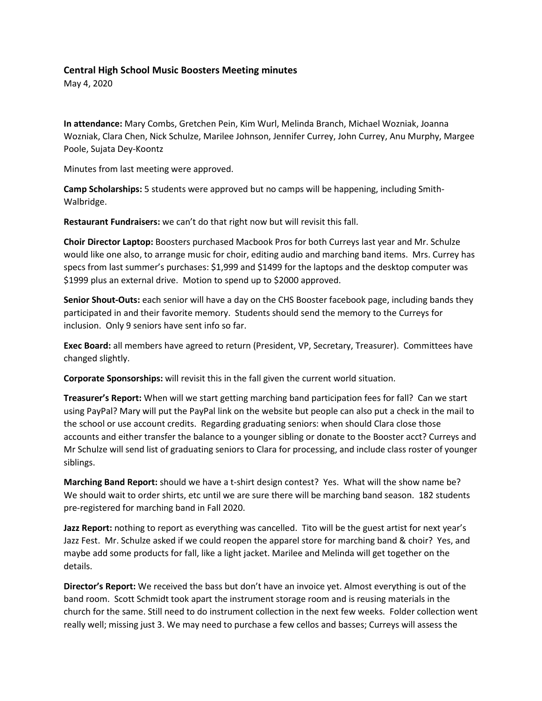## **Central High School Music Boosters Meeting minutes**

May 4, 2020

**In attendance:** Mary Combs, Gretchen Pein, Kim Wurl, Melinda Branch, Michael Wozniak, Joanna Wozniak, Clara Chen, Nick Schulze, Marilee Johnson, Jennifer Currey, John Currey, Anu Murphy, Margee Poole, Sujata Dey-Koontz

Minutes from last meeting were approved.

**Camp Scholarships:** 5 students were approved but no camps will be happening, including Smith-Walbridge.

**Restaurant Fundraisers:** we can't do that right now but will revisit this fall.

**Choir Director Laptop:** Boosters purchased Macbook Pros for both Curreys last year and Mr. Schulze would like one also, to arrange music for choir, editing audio and marching band items. Mrs. Currey has specs from last summer's purchases: \$1,999 and \$1499 for the laptops and the desktop computer was \$1999 plus an external drive. Motion to spend up to \$2000 approved.

**Senior Shout-Outs:** each senior will have a day on the CHS Booster facebook page, including bands they participated in and their favorite memory. Students should send the memory to the Curreys for inclusion. Only 9 seniors have sent info so far.

**Exec Board:** all members have agreed to return (President, VP, Secretary, Treasurer). Committees have changed slightly.

**Corporate Sponsorships:** will revisit this in the fall given the current world situation.

**Treasurer's Report:** When will we start getting marching band participation fees for fall? Can we start using PayPal? Mary will put the PayPal link on the website but people can also put a check in the mail to the school or use account credits. Regarding graduating seniors: when should Clara close those accounts and either transfer the balance to a younger sibling or donate to the Booster acct? Curreys and Mr Schulze will send list of graduating seniors to Clara for processing, and include class roster of younger siblings.

**Marching Band Report:** should we have a t-shirt design contest? Yes. What will the show name be? We should wait to order shirts, etc until we are sure there will be marching band season. 182 students pre-registered for marching band in Fall 2020.

**Jazz Report:** nothing to report as everything was cancelled. Tito will be the guest artist for next year's Jazz Fest. Mr. Schulze asked if we could reopen the apparel store for marching band & choir? Yes, and maybe add some products for fall, like a light jacket. Marilee and Melinda will get together on the details.

**Director's Report:** We received the bass but don't have an invoice yet. Almost everything is out of the band room. Scott Schmidt took apart the instrument storage room and is reusing materials in the church for the same. Still need to do instrument collection in the next few weeks. Folder collection went really well; missing just 3. We may need to purchase a few cellos and basses; Curreys will assess the